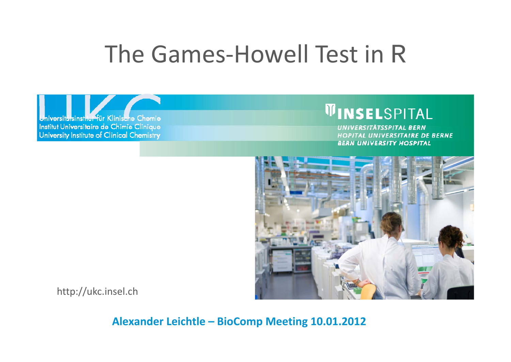# The Games‐Howell Test in R

Uni**versitärsinsthur für Klinische Chemie** Institut Universitaire de Chimie Clinique University Institute of Clinical Chemistry

### **WINSEL**SPITAL

UNIVERSITÄTSSPITAL BERN HOPITAL UNIVERSITAIRE DE BERNE **BERN UNIVERSITY HOSPITAL** 



http://ukc.insel.ch

**Alexander Leichtle – BioComp Meeting 10.01.2012**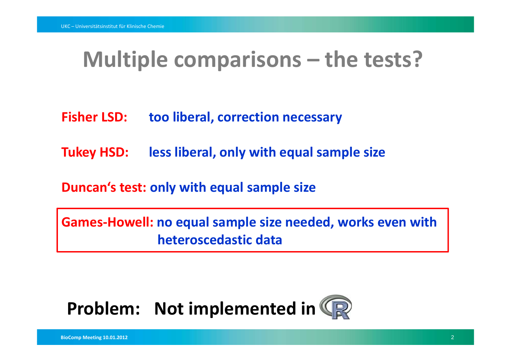### **Multiple comparisons – the tests?**

- **FisherLSD: too liberal, correction necessary**
- **Tukey HSD: less liberal, only with equal sample size**

**Duncan's test: only with equal sample size**

**Games‐Howell: no equal sample size needed, works even with heteroscedastic data**

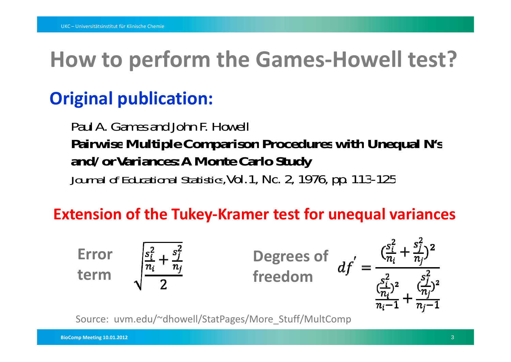## **How to perform the Games‐Howell test?**

#### **Original publication:**

Paul A. Games and John F. Howell **Pairwise Multiple Comparison Procedures with Unequal N's and/orVariances: A Monte Carlo Study** *Journal of Educational Statistics*, Vol.1, No. 2, 1976, pp. 113-125

#### **Extension of the Tukey‐Kramer test for unequal variances**



Source: uvm.edu/~dhowell/StatPages/More\_Stuff/MultComp

**BioComp Meeting 10.01.2012** 3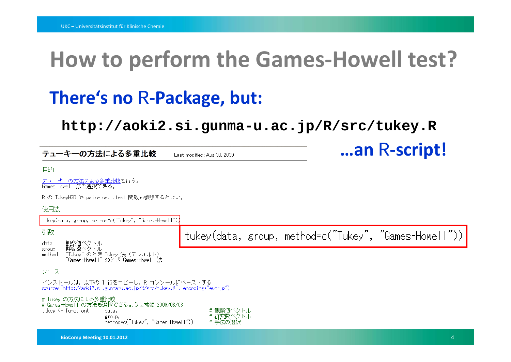### **How to perform the Games‐Howell test?**

### **There's no** R-Package, but:

**http://aoki2.si.gunma-u.ac.jp/R/src/tukey.R**

<sup>R</sup>**‐script!**

| テューキーの方法による多重比較                                                                                                                                              | Last modified: Aug 03, 2009       | an R-script!                                          |  |
|--------------------------------------------------------------------------------------------------------------------------------------------------------------|-----------------------------------|-------------------------------------------------------|--|
| 目的                                                                                                                                                           |                                   |                                                       |  |
| <u>テューキーの方法による多重比較</u> を行う。<br>Games-Howell 法も選択できる。                                                                                                         |                                   |                                                       |  |
| R の TukeyHSD や pairwise.t.test 関数も参照するとよい。                                                                                                                   |                                   |                                                       |  |
| 使用法                                                                                                                                                          |                                   |                                                       |  |
| tukey(data, group, method=c("Tukey", "Games-Howell"))                                                                                                        |                                   |                                                       |  |
| 引数                                                                                                                                                           |                                   | tukey(data, group, method=c("Tukey", "Games-Howell")) |  |
| 観察値ベクトル<br>data<br>群変数ベクトル<br>"Tukey" のとき Tukey 法(デフォルト)<br>group<br>method<br>"Games-Howell" のとき Games-Howell 法                                             |                                   |                                                       |  |
| ソース                                                                                                                                                          |                                   |                                                       |  |
| インストールは,以下の 1 行をコビーし,R コンソールにペーストする<br>source("http://aoki2.si.gunma-u.ac.jp/R/src/tukey.R", encoding="euc-jp")                                              |                                   |                                                       |  |
| # Tukey の方法による多 <mark>重比</mark> 較<br># Games-Howell の方法も選択できるように拡張 2009/08/03<br>tukev <- function(<br>data.<br>group,<br>method=c("Tukey", "Games-Howell")) | # 観察値ベクトル<br># 群変数ベクトル<br># 手法の選択 |                                                       |  |
| BioComp Meeting 10.01.2012                                                                                                                                   |                                   |                                                       |  |